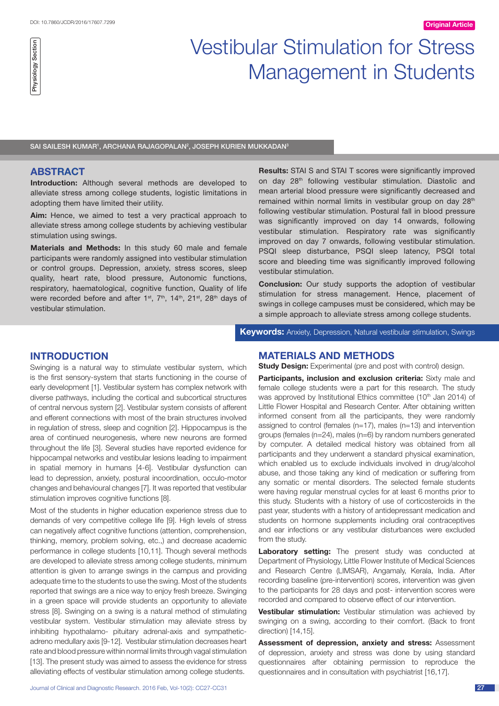# Vestibular Stimulation for Stress Management in Students

SAI SAILESH KUMAR<sup>1</sup>, ARCHANA RAJAGOPALAN<sup>2</sup>, JOSEPH KURIEN MUKKADAN<sup>3</sup>

## **ABSTRACT**

**Introduction:** Although several methods are developed to alleviate stress among college students, logistic limitations in adopting them have limited their utility.

**Aim:** Hence, we aimed to test a very practical approach to alleviate stress among college students by achieving vestibular stimulation using swings.

**Materials and Methods:** In this study 60 male and female participants were randomly assigned into vestibular stimulation or control groups. Depression, anxiety, stress scores, sleep quality, heart rate, blood pressure, Autonomic functions, respiratory, haematological, cognitive function, Quality of life were recorded before and after 1<sup>st</sup>, 7<sup>th</sup>, 14<sup>th</sup>, 21<sup>st</sup>, 28<sup>th</sup> days of vestibular stimulation.

**Results:** STAI S and STAI T scores were significantly improved on day 28<sup>th</sup> following vestibular stimulation. Diastolic and mean arterial blood pressure were significantly decreased and remained within normal limits in vestibular group on day 28<sup>th</sup> following vestibular stimulation. Postural fall in blood pressure was significantly improved on day 14 onwards, following vestibular stimulation. Respiratory rate was significantly improved on day 7 onwards, following vestibular stimulation. PSQI sleep disturbance, PSQI sleep latency, PSQI total score and bleeding time was significantly improved following vestibular stimulation.

**Conclusion:** Our study supports the adoption of vestibular stimulation for stress management. Hence, placement of swings in college campuses must be considered, which may be a simple approach to alleviate stress among college students.

**Keywords:** Anxiety, Depression, Natural vestibular stimulation, Swings

# **Introduction**

Swinging is a natural way to stimulate vestibular system, which is the first sensory-system that starts functioning in the course of early development [1]. Vestibular system has complex network with diverse pathways, including the cortical and subcortical structures of central nervous system [2]. Vestibular system consists of afferent and efferent connections with most of the brain structures involved in regulation of stress, sleep and cognition [2]. Hippocampus is the area of continued neurogenesis, where new neurons are formed throughout the life [3]. Several studies have reported evidence for hippocampal networks and vestibular lesions leading to impairment in spatial memory in humans [4-6]. Vestibular dysfunction can lead to depression, anxiety, postural incoordination, occulo-motor changes and behavioural changes [7]. It was reported that vestibular stimulation improves cognitive functions [8].

Most of the students in higher education experience stress due to demands of very competitive college life [9]. High levels of stress can negatively affect cognitive functions (attention, comprehension, thinking, memory, problem solving, etc.,) and decrease academic performance in college students [10,11]. Though several methods are developed to alleviate stress among college students, minimum attention is given to arrange swings in the campus and providing adequate time to the students to use the swing. Most of the students reported that swings are a nice way to enjoy fresh breeze. Swinging in a green space will provide students an opportunity to alleviate stress [8]. Swinging on a swing is a natural method of stimulating vestibular system. Vestibular stimulation may alleviate stress by inhibiting hypothalamo- pituitary adrenal-axis and sympatheticadreno medullary axis [9-12]. Vestibular stimulation decreases heart rate and blood pressure within normal limits through vagal stimulation [13]. The present study was aimed to assess the evidence for stress alleviating effects of vestibular stimulation among college students.

**MATERIALS AND METHODS**

**Study Design:** Experimental (pre and post with control) design.

**Participants, inclusion and exclusion criteria:** Sixty male and female college students were a part for this research. The study was approved by Institutional Ethics committee (10<sup>th</sup> Jan 2014) of Little Flower Hospital and Research Center. After obtaining written informed consent from all the participants, they were randomly assigned to control (females (n=17), males (n=13) and intervention groups (females (n=24), males (n=6) by random numbers generated by computer. A detailed medical history was obtained from all participants and they underwent a standard physical examination, which enabled us to exclude individuals involved in drug/alcohol abuse, and those taking any kind of medication or suffering from any somatic or mental disorders. The selected female students were having regular menstrual cycles for at least 6 months prior to this study. Students with a history of use of corticosteroids in the past year, students with a history of antidepressant medication and students on hormone supplements including oral contraceptives and ear infections or any vestibular disturbances were excluded from the study.

**Laboratory setting:** The present study was conducted at Department of Physiology, Little Flower Institute of Medical Sciences and Research Centre (LIMSAR), Angamaly, Kerala, India. After recording baseline (pre-intervention) scores, intervention was given to the participants for 28 days and post- intervention scores were recorded and compared to observe effect of our intervention.

**Vestibular stimulation:** Vestibular stimulation was achieved by swinging on a swing, according to their comfort. (Back to front direction) [14,15].

**Assessment of depression, anxiety and stress:** Assessment of depression, anxiety and stress was done by using standard questionnaires after obtaining permission to reproduce the questionnaires and in consultation with psychiatrist [16,17].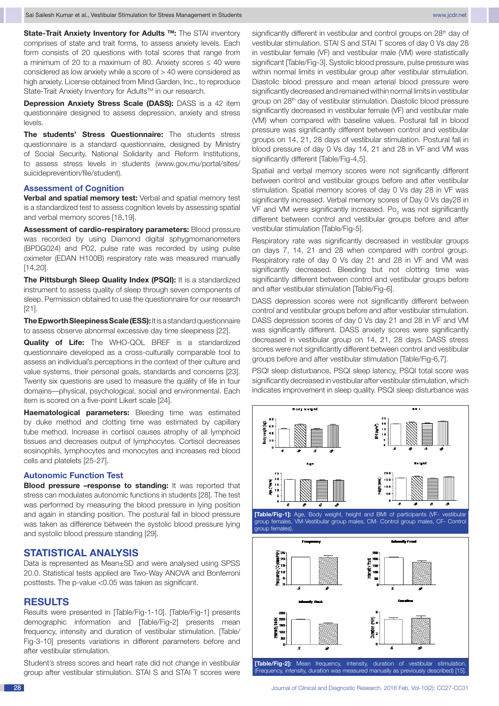**State-Trait Anxiety Inventory for Adults ™:** The STAI inventory comprises of state and trait forms, to assess anxiety levels. Each form consists of 20 questions with total scores that range from a minimum of 20 to a maximum of 80. Anxiety scores ≤ 40 were considered as low anxiety while a score of > 40 were considered as high anxiety. License obtained from Mind Garden, Inc., to reproduce State-Trait Anxiety Inventory for Adults™ in our research.

**Depression Anxiety Stress Scale (DASS):** DASS is a 42 item questionnaire designed to assess depression, anxiety and stress levels.

**The students' Stress Questionnaire:** The students stress questionnaire is a standard questionnaire, designed by Ministry of Social Security, National Solidarity and Reform Institutions, to assess stress levels in students (www.gov.mu/portal/sites/ suicideprevention/file/student).

## **Assessment of Cognition**

**Verbal and spatial memory test:** Verbal and spatial memory test is a standardized test to assess cognition levels by assessing spatial and verbal memory scores [18,19].

**Assessment of cardio-respiratory parameters:** Blood pressure was recorded by using Diamond digital sphygmomanometers (BPDG024) and P02, pulse rate was recorded by using pulse oximeter (EDAN H100B) respiratory rate was measured manually [14,20].

**The Pittsburgh Sleep Quality Index (PSQI):** It is a standardized instrument to assess quality of sleep through seven components of sleep. Permission obtained to use the questionnaire for our research [21].

**The Epworth Sleepiness Scale (ESS):** It is a standard questionnaire to assess observe abnormal excessive day time sleepiness [22].

**Quality of Life:** The WHO-QOL BREF is a standardized questionnaire developed as a cross-culturally comparable tool to assess an individual's perceptions in the context of their culture and value systems, their personal goals, standards and concerns [23]. Twenty six questions are used to measure the quality of life in four domains––physical, psychological, social and environmental. Each item is scored on a five-point Likert scale [24].

**Haematological parameters:** Bleeding time was estimated by duke method and clotting time was estimated by capillary tube method. Increase in cortisol causes atrophy of all lymphoid tissues and decreases output of lymphocytes. Cortisol decreases eosinophils, lymphocytes and monocytes and increases red blood cells and platelets [25-27].

#### **Autonomic Function Test**

**Blood pressure –response to standing:** It was reported that stress can modulates autonomic functions in students [28]. The test was performed by measuring the blood pressure in lying position and again in standing position. The postural fall in blood pressure was taken as difference between the systolic blood pressure lying and systolic blood pressure standing [29].

#### **STATISTICAL ANALYSIS**

Data is represented as Mean±SD and were analysed using SPSS 20.0. Statistical tests applied are Two-Way ANOVA and Bonferroni posttests. The p-value <0.05 was taken as significant.

## **RESULTS**

Results were presented in [Table/Fig-1-10]. [Table/Fig-1] presents demographic information and [Table/Fig-2] presents mean frequency, intensity and duration of vestibular stimulation. [Table/ Fig-3-10] presents variations in different parameters before and after vestibular stimulation.

Student's stress scores and heart rate did not change in vestibular group after vestibular stimulation. STAI S and STAI T scores were significantly different in vestibular and control groups on 28<sup>th</sup> day of vestibular stimulation. STAI S and STAI T scores of day 0 Vs day 28 in vestibular female (VF) and vestibular male (VM) were statistically significant [Table/Fig-3]. Systolic blood pressure, pulse pressure was within normal limits in vestibular group after vestibular stimulation. Diastolic blood pressure and mean arterial blood pressure were significantly decreased and remained within normal limits in vestibular group on 28th day of vestibular stimulation. Diastolic blood pressure significantly decreased in vestibular female (VF) and vestibular male (VM) when compared with baseline values. Postural fall in blood pressure was significantly different between control and vestibular groups on 14, 21, 28 days of vestibular stimulation. Postural fall in blood pressure of day 0 Vs day 14, 21 and 28 in VF and VM was significantly different [Table/Fig-4,5].

Spatial and verbal memory scores were not significantly different between control and vestibular groups before and after vestibular stimulation. Spatial memory scores of day 0 Vs day 28 in VF was significantly increased. Verbal memory scores of Day 0 Vs day28 in VF and VM were significantly increased.  $Po_2$  was not significantly different between control and vestibular groups before and after vestibular stimulation [Table/Fig-5].

Respiratory rate was significantly decreased in vestibular groups on days 7, 14, 21 and 28 when compared with control group. Respiratory rate of day 0 Vs day 21 and 28 in VF and VM was significantly decreased. Bleeding but not clotting time was significantly different between control and vestibular groups before and after vestibular stimulation [Table/Fig-6].

DASS depression scores were not significantly different between control and vestibular groups before and after vestibular stimulation. DASS depression scores of day 0 Vs day 21 and 28 in VF and VM was significantly different. DASS anxiety scores were significantly decreased in vestibular group on 14, 21, 28 days. DASS stress scores were not significantly different between control and vestibular groups before and after vestibular stimulation [Table/Fig-6,7].

PSQI sleep disturbance, PSQI sleep latency, PSQI total score was significantly decreased in vestibular after vestibular stimulation, which indicates improvement in sleep quality. PSQI sleep disturbance was

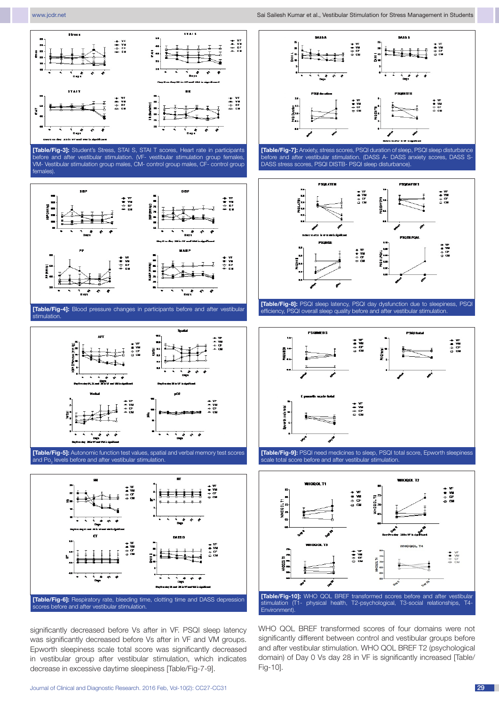



**[Table/Fig-7]:** Anxiety, stress scores, PSQI duration of sleep, PSQI sleep disturbance before and after vestibular stimulation. (DASS A- DASS anxiety scores, DASS S-DASS stress scores, PSQI DISTB- PSQI sleep disturbance).



**[Table/Fig-8]:** PSQI sleep latency, PSQI day dysfunction due to sleepiness, PSQI efficiency, PSQI overall sleep quality before and after vestibular stimulation.



**[Table/Fig-9]:** PSQI need medicines to sleep, PSQI total score, Epworth sleepiness scale total score before and after vestibular stimulation.



WHO QOL BREF transformed scores of four domains were not significantly different between control and vestibular groups before and after vestibular stimulation. WHO QOL BREF T2 (psychological domain) of Day 0 Vs day 28 in VF is significantly increased [Table/ Fig-10].









**[Table/Fig-5]:** Autonomic function test values, spatial and verbal memory test scores and Po<sub>2</sub> levels before and after vestibular stimulation.



significantly decreased before Vs after in VF. PSQI sleep latency was significantly decreased before Vs after in VF and VM groups. Epworth sleepiness scale total score was significantly decreased in vestibular group after vestibular stimulation, which indicates decrease in excessive daytime sleepiness [Table/Fig-7-9].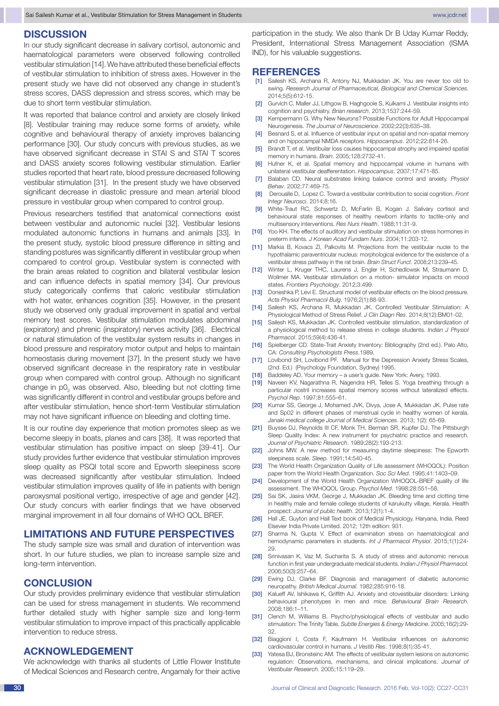## **DISCUSSION**

In our study significant decrease in salivary cortisol, autonomic and haematological parameters were observed following controlled vestibular stimulation [14]. We have attributed these beneficial effects of vestibular stimulation to inhibition of stress axes. However in the present study we have did not observed any change in student's stress scores, DASS depression and stress scores, which may be due to short term vestibular stimulation.

It was reported that balance control and anxiety are closely linked [8]. Vestibular training may reduce some forms of anxiety, while cognitive and behavioural therapy of anxiety improves balancing performance [30]. Our study concurs with previous studies, as we have observed significant decrease in STAI S and STAI T scores and DASS anxiety scores following vestibular stimulation. Earlier studies reported that heart rate, blood pressure decreased following vestibular stimulation [31]. In the present study we have observed significant decrease in diastolic pressure and mean arterial blood pressure in vestibular group when compared to control group.

Previous researchers testified that anatomical connections exist between vestibular and autonomic nuclei [32]. Vestibular lesions modulated autonomic functions in humans and animals [33]. In the present study, systolic blood pressure difference in sitting and standing postures was significantly different in vestibular group when compared to control group. Vestibular system is connected with the brain areas related to cognition and bilateral vestibular lesion and can influence defects in spatial memory [34]. Our previous study categorically confirms that caloric vestibular stimulation with hot water, enhances cognition [35]. However, in the present study we observed only gradual improvement in spatial and verbal memory test scores. Vestibular stimulation modulates abdominal (expiratory) and phrenic (inspiratory) nerves activity [36]. Electrical or natural stimulation of the vestibular system results in changes in blood pressure and respiratory motor output and helps to maintain homeostasis during movement [37]. In the present study we have observed significant decrease in the respiratory rate in vestibular group when compared with control group. Although no significant change in p $0_{_2}$  was observed. Also, bleeding but not clotting time was significantly different in control and vestibular groups before and after vestibular stimulation, hence short-term Vestibular stimulation may not have significant influence on bleeding and clotting time.

It is our routine day experience that motion promotes sleep as we become sleepy in boats, planes and cars [38]. It was reported that vestibular stimulation has positive impact on sleep [39-41]. Our study provides further evidence that vestibular stimulation improves sleep quality as PSQI total score and Epworth sleepiness score was decreased significantly after vestibular stimulation. Indeed vestibular stimulation improves quality of life in patients with benign paroxysmal positional vertigo, irrespective of age and gender [42]. Our study concurs with earlier findings that we have observed marginal improvement in all four domains of WHO QOL BREF.

## **Limitations and future perspectives**

The study sample size was small and duration of intervention was short. In our future studies, we plan to increase sample size and long-term intervention.

#### **CONCLUSION**

Our study provides preliminary evidence that vestibular stimulation can be used for stress management in students. We recommend further detailed study with higher sample size and long-term vestibular stimulation to improve impact of this practically applicable intervention to reduce stress.

#### **ACKNOWLEDGEMENT**

We acknowledge with thanks all students of Little Flower Institute of Medical Sciences and Research centre, Angamaly for their active participation in the study. We also thank Dr B Uday Kumar Reddy, President, International Stress Management Association (ISMA IND), for his valuable suggestions.

#### **References**

- [1] Sailesh KS, Archana R, Antony NJ, Mukkadan JK. You are never too old to swing. *Research Journal of Pharmaceutical, Biological and Chemical Sciences*. 2014;5(5):612-15.
- [2] Gurvich C, Maller JJ, Lithgow B, Haghgooie S, Kulkarni J. Vestibular insights into cognition and psychiatry. *Brian research*. 2013;1537:244-59.
- [3] Kempermann G. Why New Neurons? Possible Functions for Adult Hippocampal Neurogenesis. *The Journal of Neuroscience*. 2002;22(3):635–38.
- [4] Besnard S, et al. Influence of vestibular input on spatial and non-spatial memory and on hippocampal NMDA receptors. *Hippocampus*. 2012;22:814-26.
- [5] Brandt T, et al. Vestibular loss causes hippocampal atrophy and impaired spatial memory in humans. *Brain*. 2005;128:2732-41.
- [6] Hufner K, et al. Spatial memory and hippocampal volume in humans with unilateral vestibular deafferentation. *Hippocampus*. 2007;17:471-85.
- [7] Balaban CD. Neural substrates linking balance control and anxiety. *Physiol Behav*. 2002;77:469-75.
- [8] Deroualle D, Lopez C. Toward a vestibular contribution to social cognition. *Front Integr Neurosci*. 2014;8:16.
- [9] White-Traut RC, Schwertz D, McFarlin B, Kogan J. Salivary cortisol and behavioural state responses of healthy newborn infants to tactile-only and multisensory interventions. *Res Nurs Health*. 1988;11:31-9.
- [10] Yoo KH. The effects of auditory and vestibular stimulation on stress hormones in preterm infants. *J Korean Acad Fundam Nurs*. 2004;11:203-12.
- [11] Markia B, Kovacs ZI, Palkovits M. Projections from the vestibular nuclei to the hypothalamic paraventricular nucleus: morphological evidence for the existence of a vestibular stress pathway in the rat brain. *Brain Struct Funct*. 2008;213:239–45.
- [12] Winter L, Kruger THC, Laurens J, Engler H, Schedlowsk M, Straumann D, Wollmer MA. Vestibular stimulation on a motion- simulator impacts on mood states. *Frontiers Psychology*. 2012;3:499.
- [13] Doneshka P, Levi E. Structural model of vestibular effects on the blood pressure. *Acta Physiol Pharmacol Bulg*. 1976;2(1):88-93.
- [14] Sailesh KS, Archana R, Mukkadan JK. Controlled Vestibular Stimulation: A Physiological Method of Stress Relief. *J Clin Diagn Res*. 2014;8(12):BM01-02.
- [15] Sailesh KS, Mukkadan JK. Controlled vestibular stimulation, standardization of a physiological method to release stress in college students. *Indian J Physiol Pharmacol*. 2015;59(4):436-41.
- [16] Spielberger CD. State-Trait Anxiety Inventory: Bibliography (2nd ed.). Palo Alto, CA: *Consulting Psychologists Press*.1989.
- [17] Lovibond SH, Lovibond PF. Manual for the Depression Anxiety Stress Scales, (2nd. Ed.) (Psychology Foundation, Sydney) 1995.
- [18] Baddeley AD. Your memory a user's guide. New York: Avery, 1993.
- [19] Naveen KV, Nagarathna R, Nagendra HR, Telles S. Yoga breathing through a particular nostril increases spatial memory scores without lateralized effects. *Psychol Rep*. 1997;81:555–61.
- [20] Kumar SS, George J, Mohamed JVK, Divya, Jose A, Mukkadan JK. Pulse rate and Sp02 in different phases of menstrual cycle in healthy women of kerala. *Janaki medical college Journal of Medical Sciences*. 2013; 1(2): 65-69.
- [21] Buysse DJ, Reynolds III CF, Monk TH, Berman SR, Kupfer DJ. The Pittsburgh Sleep Quality Index: A new instrument for psychiatric practice and research. *Journal of Psychiatric Research*. 1989;28(2):193-213.
- [22] Johns MW. A new method for measuring daytime sleepiness: The Epworth sleepiness scale. *Sleep.* 1991;14:540-45.
- [23] The World Health Organization Quality of Life assessment (WHOQOL): Position paper from the World Health Organization. *Soc Sci Med*. 1995;41:1403–09.
- [24] Development of the World Health Organization WHOQOL-BREF quality of life assessment. The WHOQOL Group. *Psychol Med*. 1998;28:551–58.
- [25] Sai SK, Jasira VKM, George J, Mukkadan JK. Bleeding time and clotting time in healthy male and female college students of karukutty village, Kerala. Health prospect: *Journal of public health*. 2013;12(1):1-4.
- [26] Hall JE. Guyton and Hall Text book of Medical Physiology. Haryana, India. Reed Elsevier India Private Limited. 2012; 12th edition: 931.
- [27] Sharma N, Gupta V. Effect of examination stress on haematological and hemodynamic parameters in students. *Int J Pharmacol Physiol*. 2015;1(1):24-  $29.$
- [28] Srinivasan K, Vaz M, Sucharita S. A study of stress and autonomic nervous function in first year undergraduate medical students. *Indian J Physiol Pharmacol.* 2006;50(3):257–64.
- [29] Ewing DJ, Clarke BF. Diagnosis and management of diabetic autonomic neuropathy. *British Medical Journal*. 1982;285:916-18.
- [30] Kalueff AV, Ishikawa K, Griffith AJ. Anxiety and otovestibular disorders: Linking behavioural phenotypes in men and mice. *Behavioural Brain Research*. 2008;186:1–11.
- [31] Clench M, Williams B. Psycho/physiological effects of vestibular and audio stimulation: The Trinity Table. *Subtle Energies & Energy Medicine*. 2005;16(2):29- 32.
- [32] Biaggioni I, Costa F, Kaufmann H. Vestibular influences on autonomic cardiovascular control in humans. *J Vestib Res*. 1998;8(1):35-41.
- [33] Yatesa BJ, Bronsteinc AM. The effects of vestibular system lesions on autonomic regulation: Observations, mechanisms, and clinical implications. *Journal of Vestibular Research*. 2005;15:119–29.